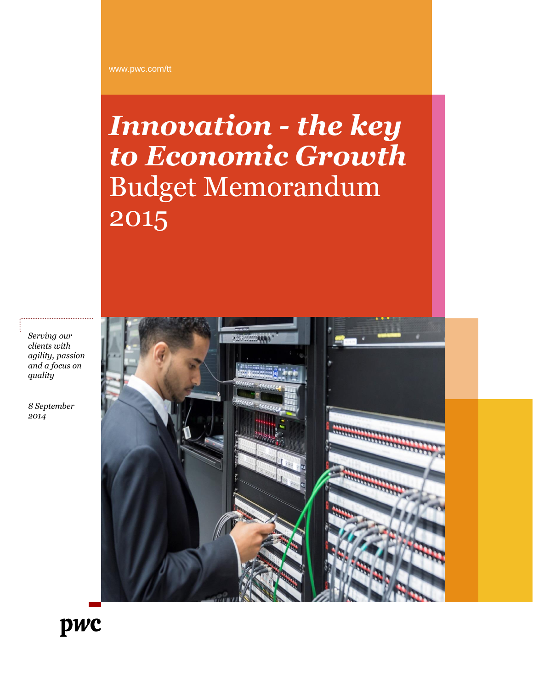# *Innovation - the key to Economic Growth* Budget Memorandum 2015

*Serving our clients with agility, passion and a focus on quality*

*8 September 2014*



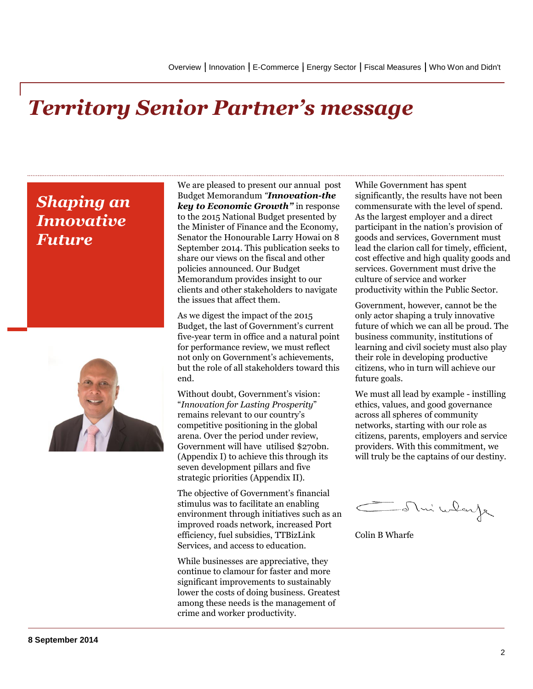### *Territory Senior Partner's message*

### *Shaping an Innovative Future*



We are pleased to present our annual post Budget Memorandum *"Innovation-the key to Economic Growth"* in response to the 2015 National Budget presented by the Minister of Finance and the Economy, Senator the Honourable Larry Howai on 8 September 2014. This publication seeks to share our views on the fiscal and other policies announced. Our Budget Memorandum provides insight to our clients and other stakeholders to navigate the issues that affect them.

As we digest the impact of the 2015 Budget, the last of Government's current five-year term in office and a natural point for performance review, we must reflect not only on Government's achievements, but the role of all stakeholders toward this end.

Without doubt, Government's vision: "*Innovation for Lasting Prosperity*" remains relevant to our country's competitive positioning in the global arena. Over the period under review, Government will have utilised \$270bn. (Appendix I) to achieve this through its seven development pillars and five strategic priorities (Appendix II).

The objective of Government's financial stimulus was to facilitate an enabling environment through initiatives such as an improved roads network, increased Port efficiency, fuel subsidies, TTBizLink Services, and access to education.

While businesses are appreciative, they continue to clamour for faster and more significant improvements to sustainably lower the costs of doing business. Greatest among these needs is the management of crime and worker productivity.

While Government has spent significantly, the results have not been commensurate with the level of spend. As the largest employer and a direct participant in the nation's provision of goods and services, Government must lead the clarion call for timely, efficient, cost effective and high quality goods and services. Government must drive the culture of service and worker productivity within the Public Sector.

Government, however, cannot be the only actor shaping a truly innovative future of which we can all be proud. The business community, institutions of learning and civil society must also play their role in developing productive citizens, who in turn will achieve our future goals.

We must all lead by example - instilling ethics, values, and good governance across all spheres of community networks, starting with our role as citizens, parents, employers and service providers. With this commitment, we will truly be the captains of our destiny.

Mui wlay

Colin B Wharfe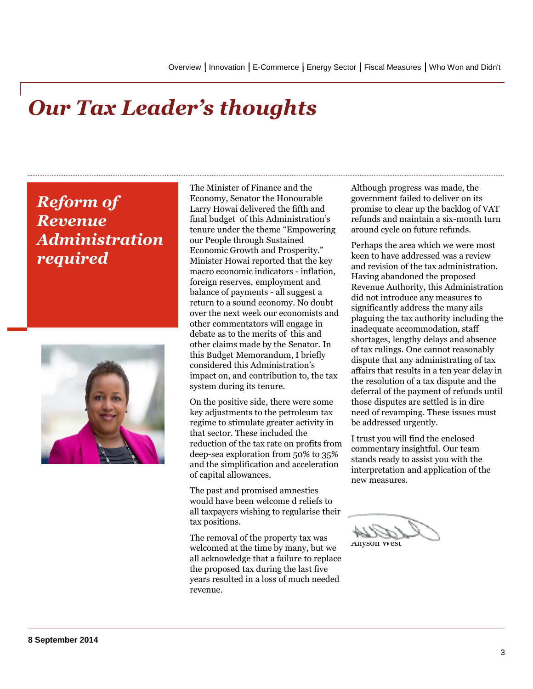## *Our Tax Leader's thoughts*

### *Reform of Revenue Administration required*



The Minister of Finance and the Economy, Senator the Honourable Larry Howai delivered the fifth and final budget of this Administration's tenure under the theme "Empowering our People through Sustained Economic Growth and Prosperity." Minister Howai reported that the key macro economic indicators - inflation, foreign reserves, employment and balance of payments - all suggest a return to a sound economy. No doubt over the next week our economists and other commentators will engage in debate as to the merits of this and other claims made by the Senator. In this Budget Memorandum, I briefly considered this Administration's impact on, and contribution to, the tax system during its tenure.

On the positive side, there were some key adjustments to the petroleum tax regime to stimulate greater activity in that sector. These included the reduction of the tax rate on profits from deep-sea exploration from 50% to 35% and the simplification and acceleration of capital allowances.

The past and promised amnesties would have been welcome d reliefs to all taxpayers wishing to regularise their tax positions.

The removal of the property tax was welcomed at the time by many, but we all acknowledge that a failure to replace the proposed tax during the last five years resulted in a loss of much needed revenue.

Although progress was made, the government failed to deliver on its promise to clear up the backlog of VAT refunds and maintain a six-month turn around cycle on future refunds.

Perhaps the area which we were most keen to have addressed was a review and revision of the tax administration. Having abandoned the proposed Revenue Authority, this Administration did not introduce any measures to significantly address the many ails plaguing the tax authority including the inadequate accommodation, staff shortages, lengthy delays and absence of tax rulings. One cannot reasonably dispute that any administrating of tax affairs that results in a ten year delay in the resolution of a tax dispute and the deferral of the payment of refunds until those disputes are settled is in dire need of revamping. These issues must be addressed urgently.

I trust you will find the enclosed commentary insightful. Our team stands ready to assist you with the interpretation and application of the new measures.

Allyson West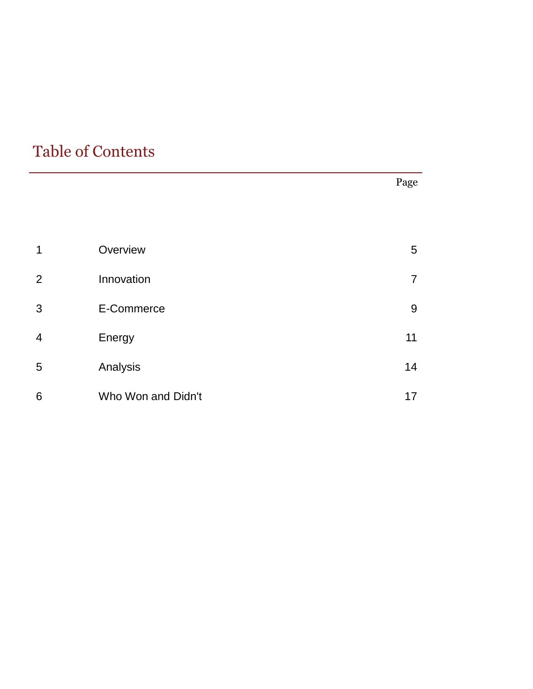### Table of Contents

|                |                    | Page           |
|----------------|--------------------|----------------|
|                |                    |                |
| 1              | Overview           | 5              |
| 2              | Innovation         | $\overline{7}$ |
| 3              | E-Commerce         | 9              |
| $\overline{4}$ | Energy             | 11             |
| 5              | Analysis           | 14             |
| 6              | Who Won and Didn't | 17             |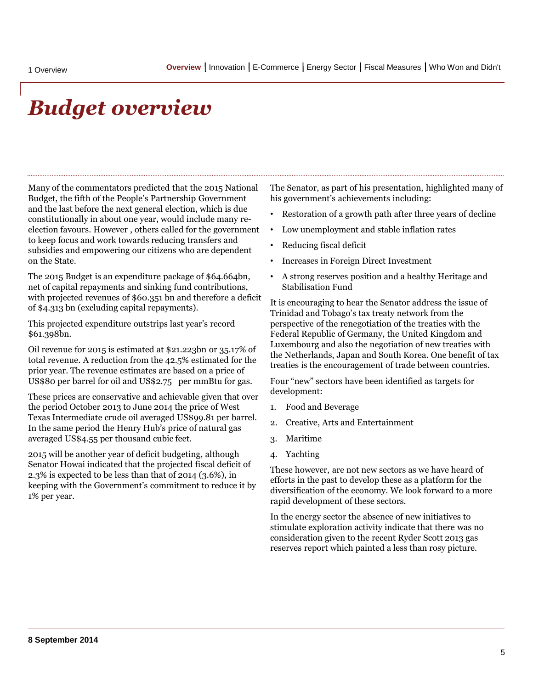### *Budget overview*

Many of the commentators predicted that the 2015 National Budget, the fifth of the People's Partnership Government and the last before the next general election, which is due constitutionally in about one year, would include many reelection favours. However , others called for the government to keep focus and work towards reducing transfers and subsidies and empowering our citizens who are dependent on the State.

The 2015 Budget is an expenditure package of \$64.664bn, net of capital repayments and sinking fund contributions, with projected revenues of \$60.351 bn and therefore a deficit of \$4.313 bn (excluding capital repayments).

This projected expenditure outstrips last year's record \$61.398bn.

Oil revenue for 2015 is estimated at \$21.223bn or 35.17% of total revenue. A reduction from the 42.5% estimated for the prior year. The revenue estimates are based on a price of US\$80 per barrel for oil and US\$2.75 per mmBtu for gas.

These prices are conservative and achievable given that over the period October 2013 to June 2014 the price of West Texas Intermediate crude oil averaged US\$99.81 per barrel. In the same period the Henry Hub's price of natural gas averaged US\$4.55 per thousand cubic feet.

<span id="page-4-0"></span>2015 will be another year of deficit budgeting, although Senator Howai indicated that the projected fiscal deficit of 2.3% is expected to be less than that of 2014 (3.6%), in keeping with the Government's commitment to reduce it by 1% per year.

The Senator, as part of his presentation, highlighted many of his government's achievements including:

- Restoration of a growth path after three years of decline
- Low unemployment and stable inflation rates
- Reducing fiscal deficit
- Increases in Foreign Direct Investment
- A strong reserves position and a healthy Heritage and Stabilisation Fund

It is encouraging to hear the Senator address the issue of Trinidad and Tobago's tax treaty network from the perspective of the renegotiation of the treaties with the Federal Republic of Germany, the United Kingdom and Luxembourg and also the negotiation of new treaties with the Netherlands, Japan and South Korea. One benefit of tax treaties is the encouragement of trade between countries.

Four "new" sectors have been identified as targets for development:

- 1. Food and Beverage
- 2. Creative, Arts and Entertainment
- 3. Maritime
- 4. Yachting

These however, are not new sectors as we have heard of efforts in the past to develop these as a platform for the diversification of the economy. We look forward to a more rapid development of these sectors.

In the energy sector the absence of new initiatives to stimulate exploration activity indicate that there was no consideration given to the recent Ryder Scott 2013 gas reserves report which painted a less than rosy picture.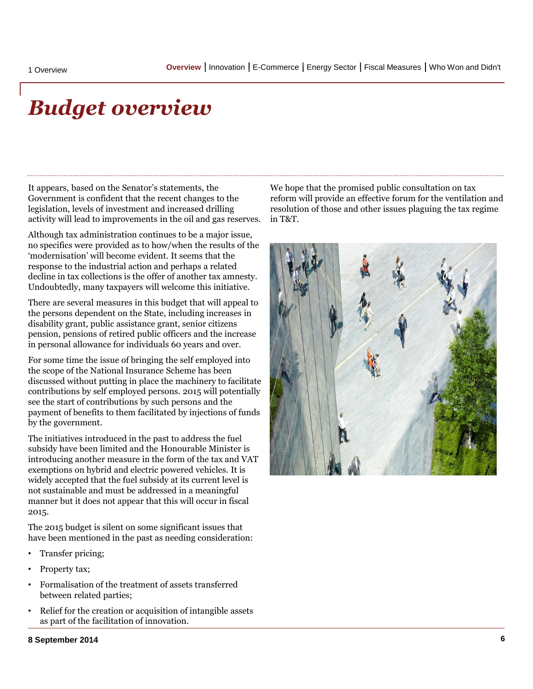### *Budget overview*

It appears, based on the Senator's statements, the Government is confident that the recent changes to the legislation, levels of investment and increased drilling activity will lead to improvements in the oil and gas reserves.

Although tax administration continues to be a major issue, no specifics were provided as to how/when the results of the 'modernisation' will become evident. It seems that the response to the industrial action and perhaps a related decline in tax collections is the offer of another tax amnesty. Undoubtedly, many taxpayers will welcome this initiative.

There are several measures in this budget that will appeal to the persons dependent on the State, including increases in disability grant, public assistance grant, senior citizens pension, pensions of retired public officers and the increase in personal allowance for individuals 60 years and over.

For some time the issue of bringing the self employed into the scope of the National Insurance Scheme has been discussed without putting in place the machinery to facilitate contributions by self employed persons. 2015 will potentially see the start of contributions by such persons and the payment of benefits to them facilitated by injections of funds by the government.

The initiatives introduced in the past to address the fuel subsidy have been limited and the Honourable Minister is introducing another measure in the form of the tax and VAT exemptions on hybrid and electric powered vehicles. It is widely accepted that the fuel subsidy at its current level is not sustainable and must be addressed in a meaningful manner but it does not appear that this will occur in fiscal 2015.

The 2015 budget is silent on some significant issues that have been mentioned in the past as needing consideration:

- Transfer pricing;
- Property tax;
- Formalisation of the treatment of assets transferred between related parties;
- Relief for the creation or acquisition of intangible assets as part of the facilitation of innovation.

We hope that the promised public consultation on tax reform will provide an effective forum for the ventilation and resolution of those and other issues plaguing the tax regime in T&T.



#### **8 September 2014**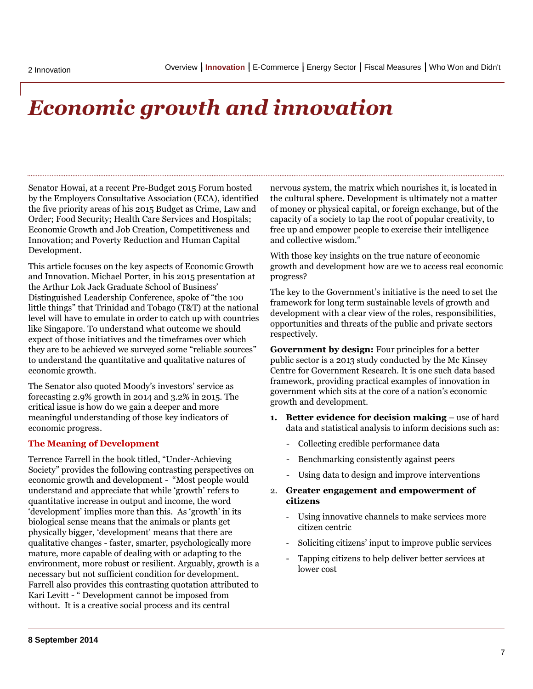## *Economic growth and innovation*

Senator Howai, at a recent Pre-Budget 2015 Forum hosted by the Employers Consultative Association (ECA), identified the five priority areas of his 2015 Budget as Crime, Law and Order; Food Security; Health Care Services and Hospitals; Economic Growth and Job Creation, Competitiveness and Innovation; and Poverty Reduction and Human Capital Development.

This article focuses on the key aspects of Economic Growth and Innovation. Michael Porter, in his 2015 presentation at the Arthur Lok Jack Graduate School of Business' Distinguished Leadership Conference, spoke of "the 100 little things" that Trinidad and Tobago (T&T) at the national level will have to emulate in order to catch up with countries like Singapore. To understand what outcome we should expect of those initiatives and the timeframes over which they are to be achieved we surveyed some "reliable sources" to understand the quantitative and qualitative natures of economic growth.

The Senator also quoted Moody's investors' service as forecasting 2.9% growth in 2014 and 3.2% in 2015. The critical issue is how do we gain a deeper and more meaningful understanding of those key indicators of economic progress.

#### **The Meaning of Development**

<span id="page-6-0"></span>Terrence Farrell in the book titled, "Under-Achieving Society" provides the following contrasting perspectives on economic growth and development - "Most people would understand and appreciate that while 'growth' refers to quantitative increase in output and income, the word 'development' implies more than this. As 'growth' in its biological sense means that the animals or plants get physically bigger, 'development' means that there are qualitative changes - faster, smarter, psychologically more mature, more capable of dealing with or adapting to the environment, more robust or resilient. Arguably, growth is a necessary but not sufficient condition for development. Farrell also provides this contrasting quotation attributed to Kari Levitt - " Development cannot be imposed from without. It is a creative social process and its central

nervous system, the matrix which nourishes it, is located in the cultural sphere. Development is ultimately not a matter of money or physical capital, or foreign exchange, but of the capacity of a society to tap the root of popular creativity, to free up and empower people to exercise their intelligence and collective wisdom."

With those key insights on the true nature of economic growth and development how are we to access real economic progress?

The key to the Government's initiative is the need to set the framework for long term sustainable levels of growth and development with a clear view of the roles, responsibilities, opportunities and threats of the public and private sectors respectively.

**Government by design:** Four principles for a better public sector is a 2013 study conducted by the Mc Kinsey Centre for Government Research. It is one such data based framework, providing practical examples of innovation in government which sits at the core of a nation's economic growth and development.

- **1. Better evidence for decision making** use of hard data and statistical analysis to inform decisions such as:
	- Collecting credible performance data
	- Benchmarking consistently against peers
	- Using data to design and improve interventions
- 2. **Greater engagement and empowerment of citizens**
	- Using innovative channels to make services more citizen centric
	- Soliciting citizens' input to improve public services
	- Tapping citizens to help deliver better services at lower cost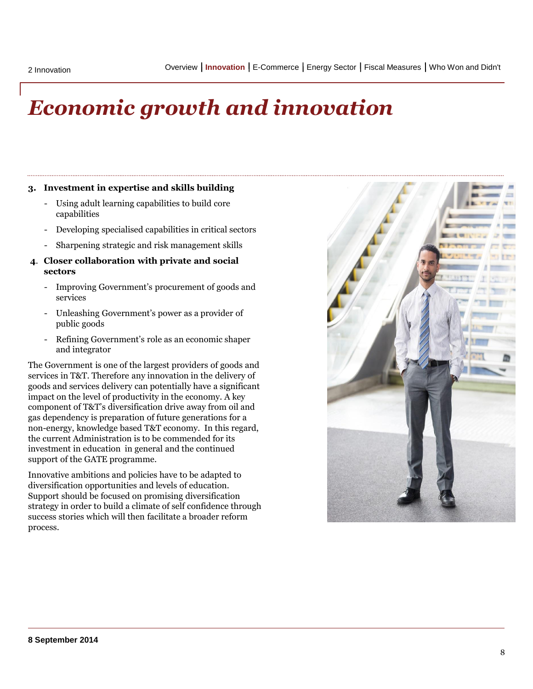## *Economic growth and innovation*

#### **3. Investment in expertise and skills building**

- Using adult learning capabilities to build core capabilities
- Developing specialised capabilities in critical sectors
- Sharpening strategic and risk management skills
- **4**. **Closer collaboration with private and social sectors**
	- Improving Government's procurement of goods and services
	- Unleashing Government's power as a provider of public goods
	- Refining Government's role as an economic shaper and integrator

The Government is one of the largest providers of goods and services in T&T. Therefore any innovation in the delivery of goods and services delivery can potentially have a significant impact on the level of productivity in the economy. A key component of T&T's diversification drive away from oil and gas dependency is preparation of future generations for a non-energy, knowledge based T&T economy. In this regard, the current Administration is to be commended for its investment in education in general and the continued support of the GATE programme.

Innovative ambitions and policies have to be adapted to diversification opportunities and levels of education. Support should be focused on promising diversification strategy in order to build a climate of self confidence through success stories which will then facilitate a broader reform process.

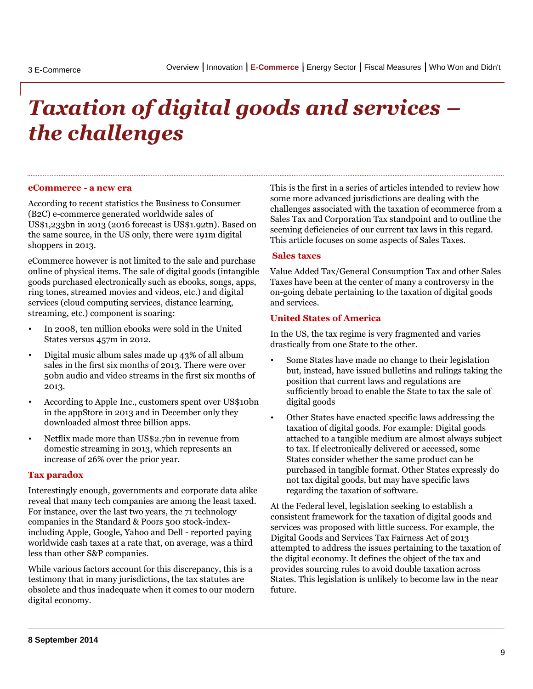# *Taxation of digital goods and services – the challenges*

#### **eCommerce - a new era**

According to recent statistics the Business to Consumer (B2C) e-commerce generated worldwide sales of US\$1,233bn in 2013 (2016 forecast is US\$1.92tn). Based on the same source, in the US only, there were 191m digital shoppers in 2013.

eCommerce however is not limited to the sale and purchase online of physical items. The sale of digital goods (intangible goods purchased electronically such as ebooks, songs, apps, ring tones, streamed movies and videos, etc.) and digital services (cloud computing services, distance learning, streaming, etc.) component is soaring:

- In 2008, ten million ebooks were sold in the United States versus 457m in 2012.
- Digital music album sales made up 43% of all album sales in the first six months of 2013. There were over 50bn audio and video streams in the first six months of 2013.
- According to Apple Inc., customers spent over US\$10bn in the appStore in 2013 and in December only they downloaded almost three billion apps.
- Netflix made more than US\$2.7bn in revenue from domestic streaming in 2013, which represents an increase of 26% over the prior year.

#### **Tax paradox**

Interestingly enough, governments and corporate data alike reveal that many tech companies are among the least taxed. For instance, over the last two years, the 71 technology companies in the Standard & Poors 500 stock-indexincluding Apple, Google, Yahoo and Dell - reported paying worldwide cash taxes at a rate that, on average, was a third less than other S&P companies.

<span id="page-8-0"></span>While various factors account for this discrepancy, this is a testimony that in many jurisdictions, the tax statutes are obsolete and thus inadequate when it comes to our modern digital economy.

This is the first in a series of articles intended to review how some more advanced jurisdictions are dealing with the challenges associated with the taxation of ecommerce from a Sales Tax and Corporation Tax standpoint and to outline the seeming deficiencies of our current tax laws in this regard. This article focuses on some aspects of Sales Taxes.

#### **Sales taxes**

Value Added Tax/General Consumption Tax and other Sales Taxes have been at the center of many a controversy in the on-going debate pertaining to the taxation of digital goods and services.

#### **United States of America**

In the US, the tax regime is very fragmented and varies drastically from one State to the other.

- Some States have made no change to their legislation but, instead, have issued bulletins and rulings taking the position that current laws and regulations are sufficiently broad to enable the State to tax the sale of digital goods
- Other States have enacted specific laws addressing the taxation of digital goods. For example: Digital goods attached to a tangible medium are almost always subject to tax. If electronically delivered or accessed, some States consider whether the same product can be purchased in tangible format. Other States expressly do not tax digital goods, but may have specific laws regarding the taxation of software.

At the Federal level, legislation seeking to establish a consistent framework for the taxation of digital goods and services was proposed with little success. For example, the Digital Goods and Services Tax Fairness Act of 2013 attempted to address the issues pertaining to the taxation of the digital economy. It defines the object of the tax and provides sourcing rules to avoid double taxation across States. This legislation is unlikely to become law in the near future.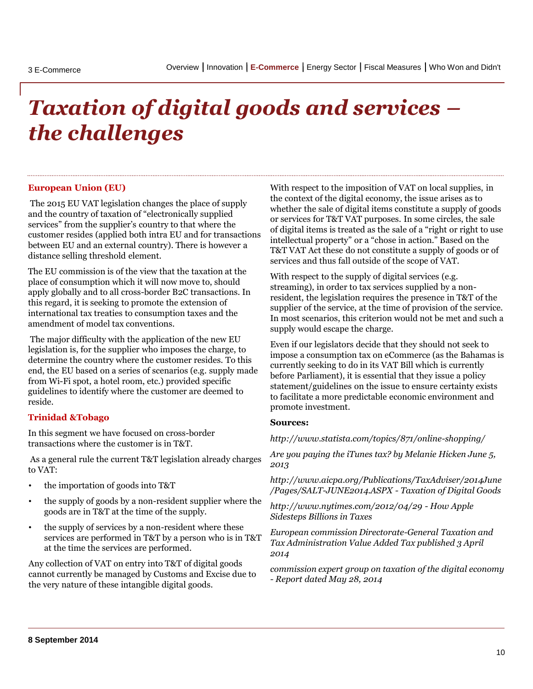# *Taxation of digital goods and services – the challenges*

#### **European Union (EU)**

The 2015 EU VAT legislation changes the place of supply and the country of taxation of "electronically supplied services" from the supplier's country to that where the customer resides (applied both intra EU and for transactions between EU and an external country). There is however a distance selling threshold element.

The EU commission is of the view that the taxation at the place of consumption which it will now move to, should apply globally and to all cross-border B2C transactions. In this regard, it is seeking to promote the extension of international tax treaties to consumption taxes and the amendment of model tax conventions.

The major difficulty with the application of the new EU legislation is, for the supplier who imposes the charge, to determine the country where the customer resides. To this end, the EU based on a series of scenarios (e.g. supply made from Wi-Fi spot, a hotel room, etc.) provided specific guidelines to identify where the customer are deemed to reside.

#### **Trinidad &Tobago**

In this segment we have focused on cross-border transactions where the customer is in T&T.

As a general rule the current T&T legislation already charges to VAT:

- the importation of goods into T&T
- the supply of goods by a non-resident supplier where the goods are in T&T at the time of the supply.
- the supply of services by a non-resident where these services are performed in T&T by a person who is in T&T at the time the services are performed.

Any collection of VAT on entry into T&T of digital goods cannot currently be managed by Customs and Excise due to the very nature of these intangible digital goods.

With respect to the imposition of VAT on local supplies, in the context of the digital economy, the issue arises as to whether the sale of digital items constitute a supply of goods or services for T&T VAT purposes. In some circles, the sale of digital items is treated as the sale of a "right or right to use intellectual property" or a "chose in action." Based on the T&T VAT Act these do not constitute a supply of goods or of services and thus fall outside of the scope of VAT.

With respect to the supply of digital services (e.g. streaming), in order to tax services supplied by a nonresident, the legislation requires the presence in T&T of the supplier of the service, at the time of provision of the service. In most scenarios, this criterion would not be met and such a supply would escape the charge.

Even if our legislators decide that they should not seek to impose a consumption tax on eCommerce (as the Bahamas is currently seeking to do in its VAT Bill which is currently before Parliament), it is essential that they issue a policy statement/guidelines on the issue to ensure certainty exists to facilitate a more predictable economic environment and promote investment.

#### **Sources:**

*http://www.statista.com/topics/871/online-shopping/*

*Are you paying the iTunes tax? by Melanie Hicken June 5, 2013*

*http://www.aicpa.org/Publications/TaxAdviser/2014June /Pages/SALT-JUNE2014.ASPX - Taxation of Digital Goods*

*http://www.nytimes.com/2012/04/29 - How Apple Sidesteps Billions in Taxes*

*European commission Directorate-General Taxation and Tax Administration Value Added Tax published 3 April 2014*

*commission expert group on taxation of the digital economy - Report dated May 28, 2014*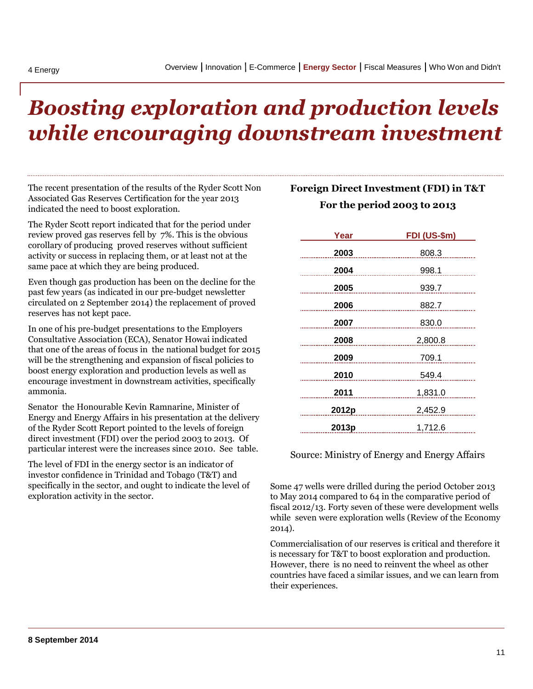## *Boosting exploration and production levels while encouraging downstream investment*

The recent presentation of the results of the Ryder Scott Non Associated Gas Reserves Certification for the year 2013 indicated the need to boost exploration.

The Ryder Scott report indicated that for the period under review proved gas reserves fell by 7%. This is the obvious corollary of producing proved reserves without sufficient activity or success in replacing them, or at least not at the same pace at which they are being produced.

Even though gas production has been on the decline for the past few years (as indicated in our pre-budget newsletter circulated on 2 September 2014) the replacement of proved reserves has not kept pace.

In one of his pre-budget presentations to the Employers Consultative Association (ECA), Senator Howai indicated that one of the areas of focus in the national budget for 2015 will be the strengthening and expansion of fiscal policies to boost energy exploration and production levels as well as encourage investment in downstream activities, specifically ammonia.

Senator the Honourable Kevin Ramnarine, Minister of Energy and Energy Affairs in his presentation at the delivery of the Ryder Scott Report pointed to the levels of foreign direct investment (FDI) over the period 2003 to 2013. Of particular interest were the increases since 2010. See table.

<span id="page-10-0"></span>The level of FDI in the energy sector is an indicator of investor confidence in Trinidad and Tobago (T&T) and specifically in the sector, and ought to indicate the level of exploration activity in the sector.

### **Foreign Direct Investment (FDI) in T&T For the period 2003 to 2013**

| Year       | FDI (US-\$m) |
|------------|--------------|
| 2003       | 808.3        |
| 2004       | 998.1        |
| 2005       | 939.7        |
| 2006       | 882.7        |
| 2007       | 830.0        |
| 2008       | 2,800.8      |
|            | 2009 709.1   |
| 2010       | 549.4        |
| 2011       | 1,831.0      |
| 2012p      | 2,452.9      |
| 2013p<br>. | 1,712.6      |

#### Source: Ministry of Energy and Energy Affairs

Some 47 wells were drilled during the period October 2013 to May 2014 compared to 64 in the comparative period of fiscal 2012/13. Forty seven of these were development wells while seven were exploration wells (Review of the Economy 2014).

Commercialisation of our reserves is critical and therefore it is necessary for T&T to boost exploration and production. However, there is no need to reinvent the wheel as other countries have faced a similar issues, and we can learn from their experiences.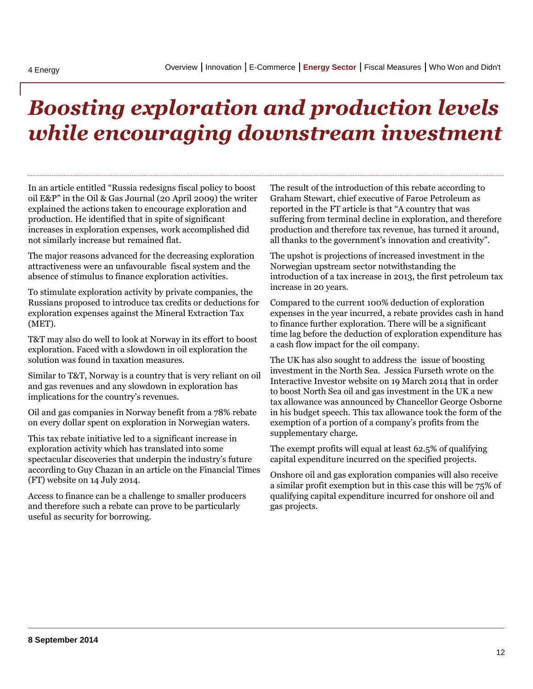## *Boosting exploration and production levels while encouraging downstream investment*

In an article entitled "Russia redesigns fiscal policy to boost oil E&P" in the Oil & Gas Journal (20 April 2009) the writer explained the actions taken to encourage exploration and production. He identified that in spite of significant increases in exploration expenses, work accomplished did not similarly increase but remained flat.

The major reasons advanced for the decreasing exploration attractiveness were an unfavourable fiscal system and the absence of stimulus to finance exploration activities.

To stimulate exploration activity by private companies, the Russians proposed to introduce tax credits or deductions for exploration expenses against the Mineral Extraction Tax (MET).

T&T may also do well to look at Norway in its effort to boost exploration. Faced with a slowdown in oil exploration the solution was found in taxation measures.

Similar to T&T, Norway is a country that is very reliant on oil and gas revenues and any slowdown in exploration has implications for the country's revenues.

Oil and gas companies in Norway benefit from a 78% rebate on every dollar spent on exploration in Norwegian waters.

This tax rebate initiative led to a significant increase in exploration activity which has translated into some spectacular discoveries that underpin the industry's future according to Guy Chazan in an article on the Financial Times (FT) website on 14 July 2014.

Access to finance can be a challenge to smaller producers and therefore such a rebate can prove to be particularly useful as security for borrowing.

The result of the introduction of this rebate according to Graham Stewart, chief executive of Faroe Petroleum as reported in the FT article is that "A country that was suffering from terminal decline in exploration, and therefore production and therefore tax revenue, has turned it around, all thanks to the government's innovation and creativity".

The upshot is projections of increased investment in the Norwegian upstream sector notwithstanding the introduction of a tax increase in 2013, the first petroleum tax increase in 20 years.

Compared to the current 100% deduction of exploration expenses in the year incurred, a rebate provides cash in hand to finance further exploration. There will be a significant time lag before the deduction of exploration expenditure has a cash flow impact for the oil company.

The UK has also sought to address the issue of boosting investment in the North Sea. Jessica Furseth wrote on the Interactive Investor website on 19 March 2014 that in order to boost North Sea oil and gas investment in the UK a new tax allowance was announced by Chancellor George Osborne in his budget speech. This tax allowance took the form of the exemption of a portion of a company's profits from the supplementary charge.

The exempt profits will equal at least 62.5% of qualifying capital expenditure incurred on the specified projects.

Onshore oil and gas exploration companies will also receive a similar profit exemption but in this case this will be 75% of qualifying capital expenditure incurred for onshore oil and gas projects.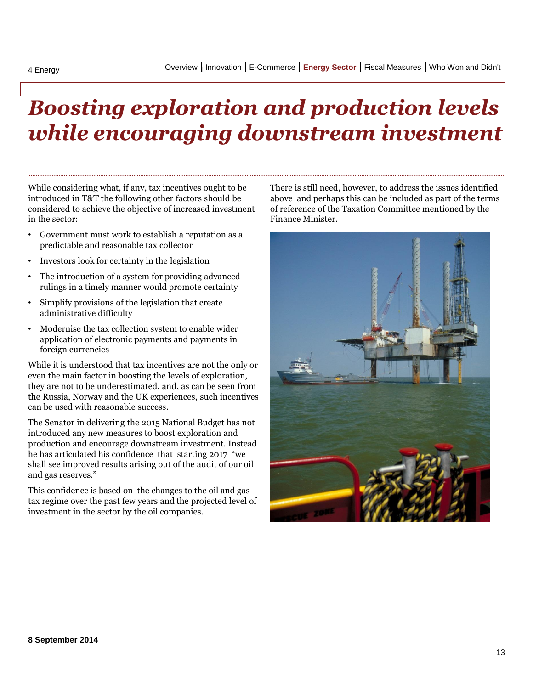## *Boosting exploration and production levels while encouraging downstream investment*

While considering what, if any, tax incentives ought to be introduced in T&T the following other factors should be considered to achieve the objective of increased investment in the sector:

- Government must work to establish a reputation as a predictable and reasonable tax collector
- Investors look for certainty in the legislation
- The introduction of a system for providing advanced rulings in a timely manner would promote certainty
- Simplify provisions of the legislation that create administrative difficulty
- Modernise the tax collection system to enable wider application of electronic payments and payments in foreign currencies

While it is understood that tax incentives are not the only or even the main factor in boosting the levels of exploration, they are not to be underestimated, and, as can be seen from the Russia, Norway and the UK experiences, such incentives can be used with reasonable success.

The Senator in delivering the 2015 National Budget has not introduced any new measures to boost exploration and production and encourage downstream investment. Instead he has articulated his confidence that starting 2017 "we shall see improved results arising out of the audit of our oil and gas reserves."

This confidence is based on the changes to the oil and gas tax regime over the past few years and the projected level of investment in the sector by the oil companies.

There is still need, however, to address the issues identified above and perhaps this can be included as part of the terms of reference of the Taxation Committee mentioned by the Finance Minister.

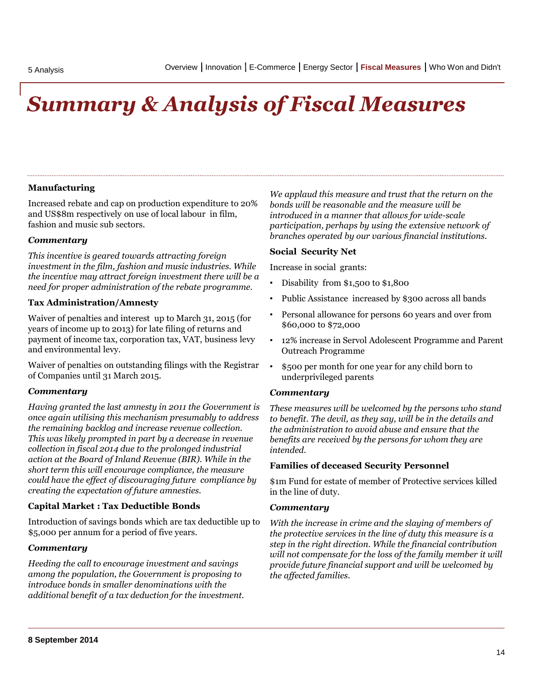# *Summary & Analysis of Fiscal Measures*

#### **Manufacturing**

Increased rebate and cap on production expenditure to 20% and US\$8m respectively on use of local labour in film, fashion and music sub sectors.

#### *Commentary*

*This incentive is geared towards attracting foreign investment in the film, fashion and music industries. While the incentive may attract foreign investment there will be a need for proper administration of the rebate programme.*

#### **Tax Administration/Amnesty**

Waiver of penalties and interest up to March 31, 2015 (for years of income up to 2013) for late filing of returns and payment of income tax, corporation tax, VAT, business levy and environmental levy.

Waiver of penalties on outstanding filings with the Registrar of Companies until 31 March 2015.

#### *Commentary*

*Having granted the last amnesty in 2011 the Government is once again utilising this mechanism presumably to address the remaining backlog and increase revenue collection. This was likely prompted in part by a decrease in revenue collection in fiscal 2014 due to the prolonged industrial action at the Board of Inland Revenue (BIR). While in the short term this will encourage compliance, the measure could have the effect of discouraging future compliance by creating the expectation of future amnesties.*

#### **Capital Market : Tax Deductible Bonds**

Introduction of savings bonds which are tax deductible up to \$5,000 per annum for a period of five years.

#### *Commentary*

<span id="page-13-0"></span>*Heeding the call to encourage investment and savings among the population, the Government is proposing to introduce bonds in smaller denominations with the additional benefit of a tax deduction for the investment.*  *We applaud this measure and trust that the return on the bonds will be reasonable and the measure will be introduced in a manner that allows for wide-scale participation, perhaps by using the extensive network of branches operated by our various financial institutions.* 

#### **Social Security Net**

Increase in social grants:

- Disability from \$1,500 to \$1,800
- Public Assistance increased by \$300 across all bands
- Personal allowance for persons 60 years and over from \$60,000 to \$72,000
- 12% increase in Servol Adolescent Programme and Parent Outreach Programme
- \$500 per month for one year for any child born to underprivileged parents

#### *Commentary*

*These measures will be welcomed by the persons who stand to benefit. The devil, as they say, will be in the details and the administration to avoid abuse and ensure that the benefits are received by the persons for whom they are intended.*

#### **Families of deceased Security Personnel**

\$1m Fund for estate of member of Protective services killed in the line of duty.

#### *Commentary*

*With the increase in crime and the slaying of members of the protective services in the line of duty this measure is a step in the right direction. While the financial contribution will not compensate for the loss of the family member it will provide future financial support and will be welcomed by the affected families.*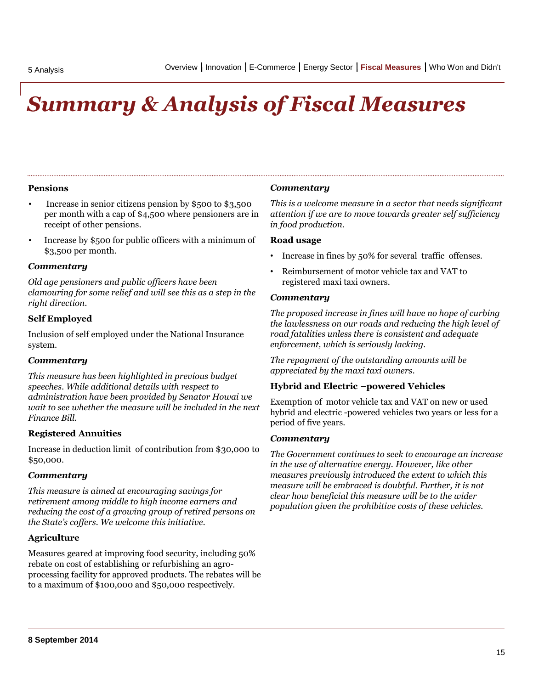## *Summary & Analysis of Fiscal Measures*

#### **Pensions**

- Increase in senior citizens pension by \$500 to \$3,500 per month with a cap of \$4,500 where pensioners are in receipt of other pensions.
- Increase by \$500 for public officers with a minimum of \$3,500 per month.

#### *Commentary*

*Old age pensioners and public officers have been clamouring for some relief and will see this as a step in the right direction.*

#### **Self Employed**

Inclusion of self employed under the National Insurance system.

#### *Commentary*

*This measure has been highlighted in previous budget speeches. While additional details with respect to administration have been provided by Senator Howai we wait to see whether the measure will be included in the next Finance Bill.*

#### **Registered Annuities**

Increase in deduction limit of contribution from \$30,000 to \$50,000.

#### *Commentary*

*This measure is aimed at encouraging savings for retirement among middle to high income earners and reducing the cost of a growing group of retired persons on the State's coffers. We welcome this initiative.* 

#### **Agriculture**

Measures geared at improving food security, including 50% rebate on cost of establishing or refurbishing an agroprocessing facility for approved products. The rebates will be to a maximum of \$100,000 and \$50,000 respectively.

#### *Commentary*

*This is a welcome measure in a sector that needs significant attention if we are to move towards greater self sufficiency in food production.*

#### **Road usage**

- Increase in fines by 50% for several traffic offenses.
- Reimbursement of motor vehicle tax and VAT to registered maxi taxi owners.

#### *Commentary*

*The proposed increase in fines will have no hope of curbing the lawlessness on our roads and reducing the high level of road fatalities unless there is consistent and adequate enforcement, which is seriously lacking.* 

*The repayment of the outstanding amounts will be appreciated by the maxi taxi owners.*

#### **Hybrid and Electric –powered Vehicles**

Exemption of motor vehicle tax and VAT on new or used hybrid and electric -powered vehicles two years or less for a period of five years.

#### *Commentary*

*The Government continues to seek to encourage an increase in the use of alternative energy. However, like other measures previously introduced the extent to which this measure will be embraced is doubtful. Further, it is not clear how beneficial this measure will be to the wider population given the prohibitive costs of these vehicles.*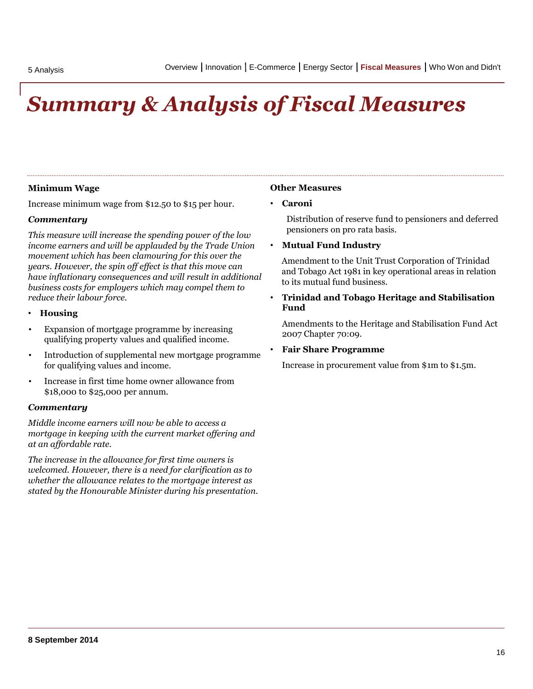## *Summary & Analysis of Fiscal Measures*

#### **Minimum Wage**

Increase minimum wage from \$12.50 to \$15 per hour.

#### *Commentary*

*This measure will increase the spending power of the low income earners and will be applauded by the Trade Union movement which has been clamouring for this over the years. However, the spin off effect is that this move can have inflationary consequences and will result in additional business costs for employers which may compel them to reduce their labour force.*

- **Housing**
- Expansion of mortgage programme by increasing qualifying property values and qualified income.
- Introduction of supplemental new mortgage programme for qualifying values and income.
- Increase in first time home owner allowance from \$18,000 to \$25,000 per annum.

#### *Commentary*

*Middle income earners will now be able to access a mortgage in keeping with the current market offering and at an affordable rate.* 

*The increase in the allowance for first time owners is welcomed. However, there is a need for clarification as to whether the allowance relates to the mortgage interest as stated by the Honourable Minister during his presentation.*

#### **Other Measures**

#### • **Caroni**

Distribution of reserve fund to pensioners and deferred pensioners on pro rata basis.

#### • **Mutual Fund Industry**

Amendment to the Unit Trust Corporation of Trinidad and Tobago Act 1981 in key operational areas in relation to its mutual fund business.

• **Trinidad and Tobago Heritage and Stabilisation Fund** 

Amendments to the Heritage and Stabilisation Fund Act 2007 Chapter 70:09.

#### • **Fair Share Programme**

Increase in procurement value from \$1m to \$1.5m.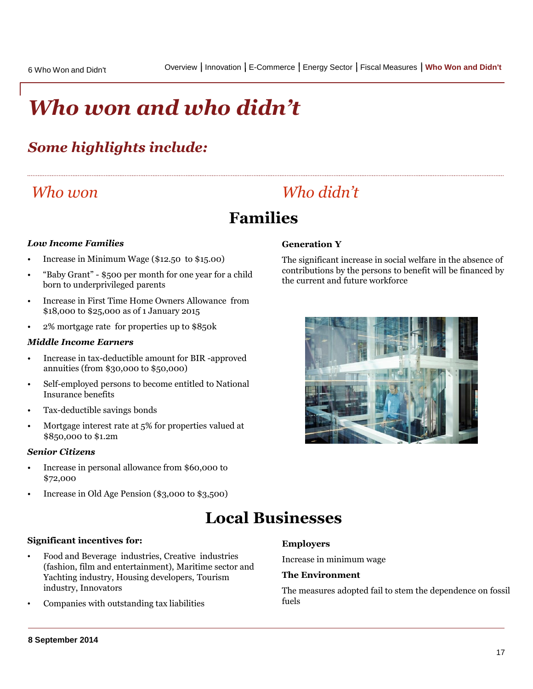## *Who won and who didn't*

### *Some highlights include:*

### *Who won*

### *Who didn't*

### **Families**

#### *Low Income Families*

- Increase in Minimum Wage (\$12.50 to \$15.00)
- "Baby Grant" \$500 per month for one year for a child born to underprivileged parents
- Increase in First Time Home Owners Allowance from \$18,000 to \$25,000 as of 1 January 2015
- 2% mortgage rate for properties up to \$850k

#### *Middle Income Earners*

- Increase in tax-deductible amount for BIR -approved annuities (from \$30,000 to \$50,000)
- Self-employed persons to become entitled to National Insurance benefits
- Tax-deductible savings bonds
- Mortgage interest rate at 5% for properties valued at \$850,000 to \$1.2m

#### *Senior Citizens*

- Increase in personal allowance from \$60,000 to \$72,000
- Increase in Old Age Pension (\$3,000 to \$3,500)

#### **Generation Y**

The significant increase in social welfare in the absence of contributions by the persons to benefit will be financed by the current and future workforce



### **Local Businesses**

#### **Significant incentives for:**

- Food and Beverage industries, Creative industries (fashion, film and entertainment), Maritime sector and Yachting industry, Housing developers, Tourism industry, Innovators
- <span id="page-16-0"></span>• Companies with outstanding tax liabilities

#### **Employers**

Increase in minimum wage

#### **The Environment**

The measures adopted fail to stem the dependence on fossil fuels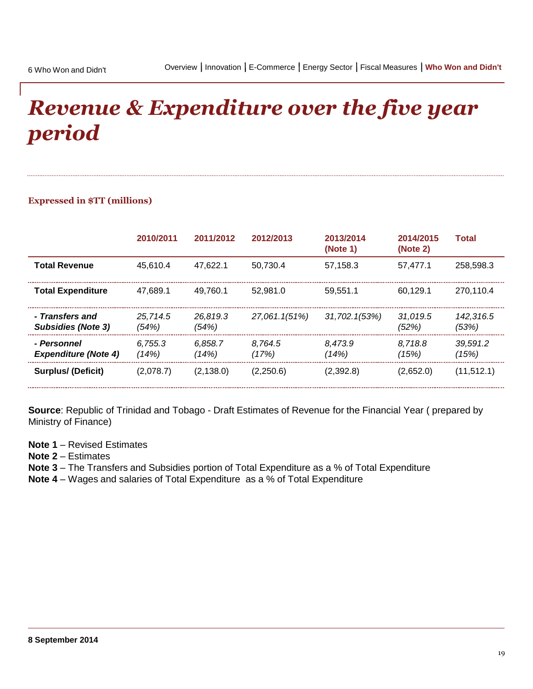## *Revenue & Expenditure over the five year period*

#### **Expressed in \$TT (millions)**

|                                              | 2010/2011         | 2011/2012         | 2012/2013        | 2013/2014<br>(Note 1) | 2014/2015<br>(Note 2) | Total              |
|----------------------------------------------|-------------------|-------------------|------------------|-----------------------|-----------------------|--------------------|
| <b>Total Revenue</b>                         | 45.610.4          | 47.622.1          | 50.730.4         | 57.158.3              | 57.477.1              | 258.598.3          |
| <b>Total Expenditure</b>                     | 47.689.1          | 49.760.1          | 52.981.0         | 59.551.1              | 60.129.1              | 270.110.4          |
| - Transfers and<br><b>Subsidies (Note 3)</b> | 25.714.5<br>(54%) | 26.819.3<br>(54%) | 27,061.1(51%)    | 31,702.1(53%)         | 31.019.5<br>(52%)     | 142.316.5<br>(53%) |
| - Personnel<br><b>Expenditure (Note 4)</b>   | 6.755.3<br>(14%)  | 6.858.7<br>(14%)  | 8.764.5<br>(17%) | 8.473.9<br>(14%)      | 8.718.8<br>(15%)      | 39.591.2<br>(15%)  |
| <b>Surplus/ (Deficit)</b>                    | (2,078.7)         | (2, 138.0)        | (2,250.6)        | (2,392.8)             | (2,652.0)             | (11, 512.1)        |

**Source**: Republic of Trinidad and Tobago - Draft Estimates of Revenue for the Financial Year ( prepared by Ministry of Finance)

- **Note 1** Revised Estimates
- **Note 2** Estimates
- **Note 3** The Transfers and Subsidies portion of Total Expenditure as a % of Total Expenditure
- **Note 4**  Wages and salaries of Total Expenditure as a % of Total Expenditure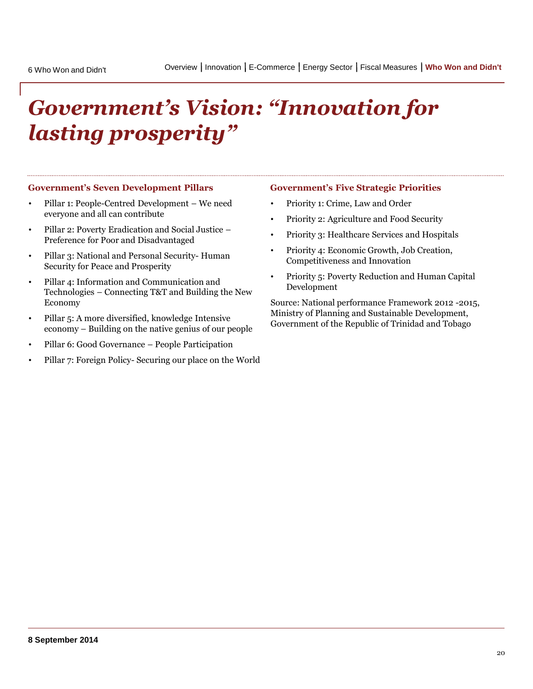# *Government's Vision: "Innovation for lasting prosperity"*

#### **Government's Seven Development Pillars**

- Pillar 1: People-Centred Development We need everyone and all can contribute
- Pillar 2: Poverty Eradication and Social Justice Preference for Poor and Disadvantaged
- Pillar 3: National and Personal Security- Human Security for Peace and Prosperity
- Pillar 4: Information and Communication and Technologies – Connecting T&T and Building the New Economy
- Pillar 5: A more diversified, knowledge Intensive economy – Building on the native genius of our people
- Pillar 6: Good Governance People Participation
- Pillar 7: Foreign Policy- Securing our place on the World

#### **Government's Five Strategic Priorities**

- Priority 1: Crime, Law and Order
- Priority 2: Agriculture and Food Security
- Priority 3: Healthcare Services and Hospitals
- Priority 4: Economic Growth, Job Creation, Competitiveness and Innovation
- Priority 5: Poverty Reduction and Human Capital Development

Source: National performance Framework 2012 -2015, Ministry of Planning and Sustainable Development, Government of the Republic of Trinidad and Tobago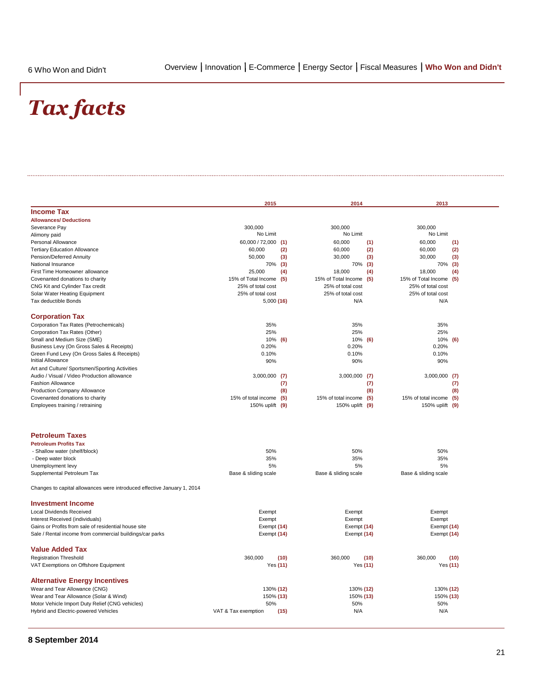## *Tax facts*

|                                                                         | 2015                    |      | 2014                   |      | 2013                    |      |
|-------------------------------------------------------------------------|-------------------------|------|------------------------|------|-------------------------|------|
| <b>Income Tax</b>                                                       |                         |      |                        |      |                         |      |
| <b>Allowances/ Deductions</b>                                           |                         |      |                        |      |                         |      |
| Severance Pay                                                           | 300,000                 |      | 300,000                |      | 300,000                 |      |
| Alimony paid                                                            | No Limit                |      | No Limit               |      | No Limit                |      |
| Personal Allowance                                                      | 60,000 / 72,000 (1)     |      | 60,000                 | (1)  | 60,000                  | (1)  |
| <b>Tertiary Education Allowance</b>                                     | 60,000                  | (2)  | 60,000                 | (2)  | 60,000                  | (2)  |
| Pension/Deferred Annuity                                                | 50,000                  | (3)  | 30,000                 | (3)  | 30,000                  | (3)  |
| National Insurance                                                      | 70% (3)                 |      | 70%                    | (3)  | 70% (3)                 |      |
| First Time Homeowner allowance                                          | 25,000                  | (4)  | 18,000                 | (4)  | 18,000                  | (4)  |
| Covenanted donations to charity                                         | 15% of Total Income     | (5)  | 15% of Total Income    | (5)  | 15% of Total Income     | (5)  |
| CNG Kit and Cylinder Tax credit                                         | 25% of total cost       |      | 25% of total cost      |      | 25% of total cost       |      |
| Solar Water Heating Equipment                                           | 25% of total cost       |      | 25% of total cost      |      | 25% of total cost       |      |
| Tax deductible Bonds                                                    | 5,000(16)               |      | N/A                    |      | N/A                     |      |
| <b>Corporation Tax</b>                                                  |                         |      |                        |      |                         |      |
| Corporation Tax Rates (Petrochemicals)                                  | 35%                     |      | 35%                    |      | 35%                     |      |
| Corporation Tax Rates (Other)                                           | 25%                     |      | 25%                    |      | 25%                     |      |
| Small and Medium Size (SME)                                             | 10% (6)                 |      | 10% (6)                |      | 10%                     | (6)  |
| Business Levy (On Gross Sales & Receipts)                               | 0.20%                   |      | 0.20%                  |      | 0.20%                   |      |
| Green Fund Levy (On Gross Sales & Receipts)                             | 0.10%                   |      | 0.10%                  |      | 0.10%                   |      |
| <b>Initial Allowance</b>                                                | 90%                     |      | 90%                    |      | 90%                     |      |
| Art and Culture/ Sportsmen/Sporting Activities                          |                         |      |                        |      |                         |      |
| Audio / Visual / Video Production allowance                             | $3,000,000$ (7)         |      | 3,000,000              | (7)  | $3,000,000$ (7)         |      |
| <b>Fashion Allowance</b>                                                |                         | (7)  |                        | (7)  |                         | (7)  |
| Production Company Allowance                                            |                         | (8)  |                        | (8)  |                         | (8)  |
| Covenanted donations to charity                                         | 15% of total income (5) |      | 15% of total income    | (5)  | 15% of total income (5) |      |
| Employees training / retraining                                         | 150% uplift (9)         |      | 150% uplift (9)        |      | 150% uplift (9)         |      |
| <b>Petroleum Taxes</b>                                                  |                         |      |                        |      |                         |      |
| <b>Petroleum Profits Tax</b>                                            |                         |      |                        |      |                         |      |
| - Shallow water (shelf/block)                                           | 50%                     |      | 50%                    |      | 50%                     |      |
| - Deep water block                                                      | 35%                     |      | 35%                    |      | 35%                     |      |
| Unemployment levy                                                       | 5%                      |      | 5%                     |      | 5%                      |      |
| Supplemental Petroleum Tax                                              | Base & sliding scale    |      | Base & sliding scale   |      | Base & sliding scale    |      |
| Changes to capital allowances were introduced effective January 1, 2014 |                         |      |                        |      |                         |      |
| <b>Investment Income</b>                                                |                         |      |                        |      |                         |      |
| <b>Local Dividends Received</b>                                         | Exempt                  |      | Exempt                 |      | Exempt                  |      |
| Interest Received (individuals)                                         | Exempt                  |      | Exempt                 |      | Exempt                  |      |
| Gains or Profits from sale of residential house site                    | Exempt (14)             |      | Exempt (14)            |      | Exempt (14)             |      |
| Sale / Rental income from commercial buildings/car parks                | Exempt (14)             |      | Exempt (14)            |      | Exempt (14)             |      |
| <b>Value Added Tax</b>                                                  |                         |      |                        |      |                         |      |
| <b>Registration Threshold</b>                                           | 360,000                 | (10) | 360.000                | (10) | 360.000                 | (10) |
| VAT Exemptions on Offshore Equipment                                    | Yes (11)                |      | Yes (11)               |      | Yes (11)                |      |
|                                                                         |                         |      |                        |      |                         |      |
| <b>Alternative Energy Incentives</b>                                    |                         |      |                        |      |                         |      |
| Wear and Tear Allowance (CNG)<br>Wear and Tear Allowance (Solar & Wind) | 130% (12)<br>150% (13)  |      | 130% (12)<br>150% (13) |      | 130% (12)               |      |
| Motor Vehicle Import Duty Relief (CNG vehicles)                         | 50%                     |      | 50%                    |      | 150% (13)<br>50%        |      |
| Hybrid and Electric-powered Vehicles                                    | VAT & Tax exemption     | (15) | N/A                    |      | N/A                     |      |
|                                                                         |                         |      |                        |      |                         |      |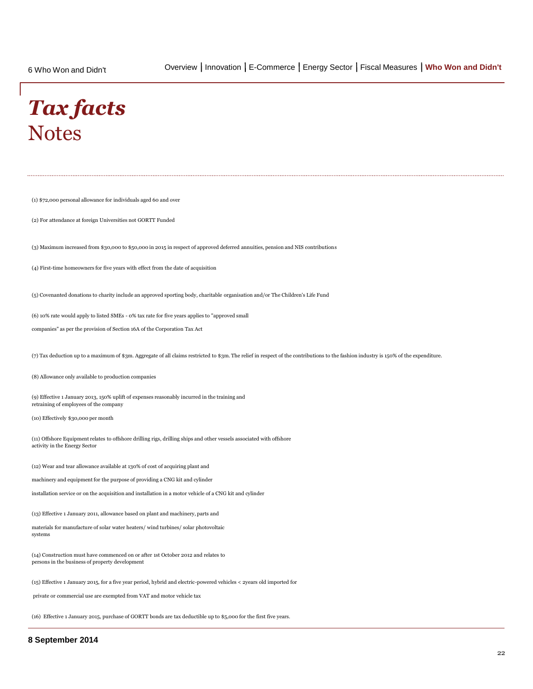### *Tax facts* **Notes**

(1) \$72,000 personal allowance for individuals aged 60 and over

(2) For attendance at foreign Universities not GORTT Funded

(3) Maximum increased from \$30,000 to \$50,000 in 2015 in respect of approved deferred annuities, pension and NIS contributions

(4) First-time homeowners for five years with effect from the date of acquisition

(5) Covenanted donations to charity include an approved sporting body, charitable organisation and/or The Children's Life Fund

(6) 10% rate would apply to listed SMEs - 0% tax rate for five years applies to "approved small

companies" as per the provision of Section 16A of the Corporation Tax Act

(7) Tax deduction up to a maximum of \$3m. Aggregate of all claims restricted to \$3m. The relief in respect of the contributions to the fashion industry is 150% of the expenditure.

(8) Allowance only available to production companies

(9) Effective 1 January 2013, 150% uplift of expenses reasonably incurred in the training and retraining of employees of the company

(10) Effectively \$30,000 per month

(11) Offshore Equipment relates to offshore drilling rigs, drilling ships and other vessels associated with offshore activity in the Energy Sector

(12) Wear and tear allowance available at 130% of cost of acquiring plant and

machinery and equipment for the purpose of providing a CNG kit and cylinder

installation service or on the acquisition and installation in a motor vehicle of a CNG kit and cylinder

(13) Effective 1 January 2011, allowance based on plant and machinery, parts and

materials for manufacture of solar water heaters/ wind turbines/ solar photovoltaic systems

(14) Construction must have commenced on or after 1st October 2012 and relates to persons in the business of property development

(15) Effective 1 January 2015, for a five year period, hybrid and electric-powered vehicles < 2years old imported for

private or commercial use are exempted from VAT and motor vehicle tax

(16) Effective 1 January 2015, purchase of GORTT bonds are tax deductible up to \$5,000 for the first five years.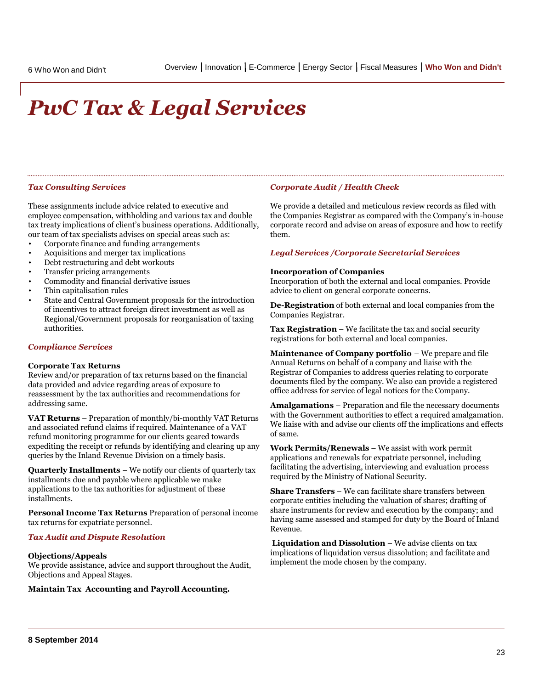# *PwC Tax & Legal Services*

#### *Tax Consulting Services*

These assignments include advice related to executive and employee compensation, withholding and various tax and double tax treaty implications of client's business operations. Additionally, our team of tax specialists advises on special areas such as:

- Corporate finance and funding arrangements
- Acquisitions and merger tax implications
- Debt restructuring and debt workouts
- Transfer pricing arrangements
- Commodity and financial derivative issues
- Thin capitalisation rules
- State and Central Government proposals for the introduction of incentives to attract foreign direct investment as well as Regional/Government proposals for reorganisation of taxing authorities.

#### *Compliance Services*

#### **Corporate Tax Returns**

Review and/or preparation of tax returns based on the financial data provided and advice regarding areas of exposure to reassessment by the tax authorities and recommendations for addressing same.

**VAT Returns** – Preparation of monthly/bi-monthly VAT Returns and associated refund claims if required. Maintenance of a VAT refund monitoring programme for our clients geared towards expediting the receipt or refunds by identifying and clearing up any queries by the Inland Revenue Division on a timely basis.

**Quarterly Installments** – We notify our clients of quarterly tax installments due and payable where applicable we make applications to the tax authorities for adjustment of these installments.

**Personal Income Tax Returns** Preparation of personal income tax returns for expatriate personnel.

#### *Tax Audit and Dispute Resolution*

#### **Objections/Appeals**

We provide assistance, advice and support throughout the Audit, Objections and Appeal Stages.

**Maintain Tax Accounting and Payroll Accounting.**

#### *Corporate Audit / Health Check*

We provide a detailed and meticulous review records as filed with the Companies Registrar as compared with the Company's in-house corporate record and advise on areas of exposure and how to rectify them.

#### *Legal Services /Corporate Secretarial Services*

#### **Incorporation of Companies**

Incorporation of both the external and local companies. Provide advice to client on general corporate concerns.

**De-Registration** of both external and local companies from the Companies Registrar.

**Tax Registration** – We facilitate the tax and social security registrations for both external and local companies.

**Maintenance of Company portfolio** – We prepare and file Annual Returns on behalf of a company and liaise with the Registrar of Companies to address queries relating to corporate documents filed by the company. We also can provide a registered office address for service of legal notices for the Company.

**Amalgamations** – Preparation and file the necessary documents with the Government authorities to effect a required amalgamation. We liaise with and advise our clients off the implications and effects of same.

**Work Permits/Renewals** – We assist with work permit applications and renewals for expatriate personnel, including facilitating the advertising, interviewing and evaluation process required by the Ministry of National Security.

**Share Transfers** – We can facilitate share transfers between corporate entities including the valuation of shares; drafting of share instruments for review and execution by the company; and having same assessed and stamped for duty by the Board of Inland Revenue.

**Liquidation and Dissolution** – We advise clients on tax implications of liquidation versus dissolution; and facilitate and implement the mode chosen by the company.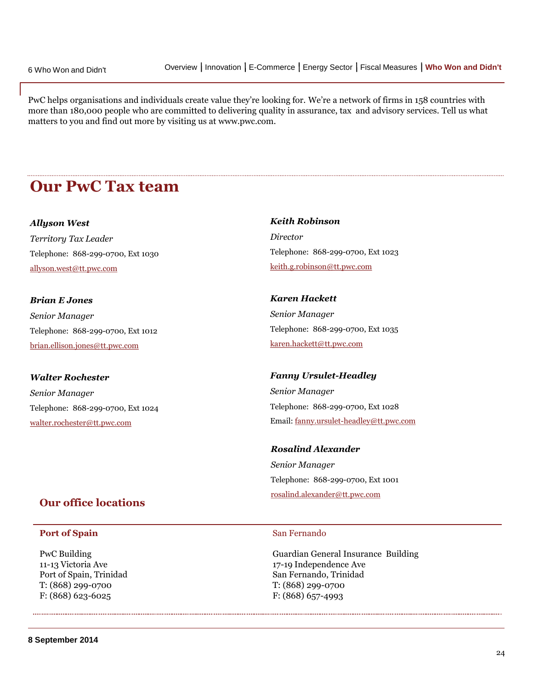PwC helps organisations and individuals create value they're looking for. We're a network of firms in 158 countries with more than 180,000 people who are committed to delivering quality in assurance, tax and advisory services. Tell us what matters to you and find out more by visiting us at www.pwc.com.

### **Our PwC Tax team**

#### *Allyson West*

*Territory Tax Leader* Telephone: 868-299-0700, Ext 1030 [allyson.west@tt.pwc.com](mailto:allyson.west@tt.pwc.com)

### *Brian E Jones Senior Manager*

Telephone: 868-299-0700, Ext 1012 [brian.ellison.jones@tt.pwc.com](mailto:brian.ellison.jones@tt.pwc.com)

#### *Walter Rochester*

*Senior Manager* Telephone: 868-299-0700, Ext 1024 [walter.rochester@tt.pwc.com](mailto:walter.rochester@tt.pwc.com)

### **Our office locations**

#### **Port of Spain**

PwC Building 11-13 Victoria Ave Port of Spain, Trinidad T: (868) 299-0700 F: (868) 623-6025

### *Keith Robinson Director* Telephone: 868-299-0700, Ext 1023 [keith.g.robinson@tt.pwc.com](mailto:keith.g.robinson@tt.pwc.com)

*Karen Hackett Senior Manager* Telephone: 868-299-0700, Ext 1035 [karen.hackett@tt.pwc.com](mailto:karen.hackett@tt.pwc.com)

#### *Fanny Ursulet-Headley*

*Senior Manager* Telephone: 868-299-0700, Ext 1028 Email: [fanny.ursulet-headley@tt.pwc.com](mailto:fanny.ursulet-headley@tt.pwc.com)

### *Rosalind Alexander Senior Manager* Telephone: 868-299-0700, Ext 1001 [rosalind.alexander@tt.pwc.com](mailto:rosalind.alexander@tt.pwc.com)

#### San Fernando

Guardian General Insurance Building 17-19 Independence Ave San Fernando, Trinidad T: (868) 299-0700 F: (868) 657-4993